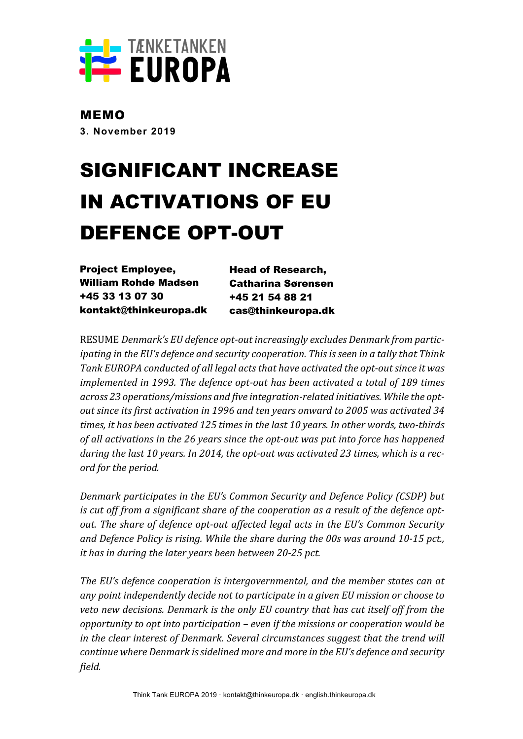

MEMO **3. November 2019**

# SIGNIFICANT INCREASE IN ACTIVATIONS OF EU DEFENCE OPT-OUT

Project Employee, William Rohde Madsen +45 33 13 07 30 kontakt@thinkeuropa.dk Head of Research, Catharina Sørensen +45 21 54 88 21 cas@thinkeuropa.dk

RESUME Denmark's EU defence opt-out increasingly excludes Denmark from partic*ipating* in the EU's defence and security cooperation. This is seen in a tally that Think Tank EUROPA conducted of all legal acts that have activated the opt-out since it was *implemented in 1993. The defence opt-out has been activated a total of 189 times* across 23 operations/missions and five integration-related initiatives. While the optout since its first activation in 1996 and ten years onward to 2005 was activated 34 times, it has been activated 125 times in the last 10 years. In other words, two-thirds of all activations in the 26 years since the opt-out was put into force has happened during the last 10 years. In 2014, the opt-out was activated 23 times, which is a rec*ord for the period.*

*Denmark participates in the EU's Common Security and Defence Policy (CSDP) but* is cut off from a significant share of the cooperation as a result of the defence opt*out.* The share of defence opt-out affected legal acts in the EU's Common Security *and Defence Policy is rising. While the share during the 00s was around 10-15 pct., it has in during the later years been between 20-25 pct.* 

The EU's defence cooperation is intergovernmental, and the member states can at any point independently decide not to participate in a given EU mission or choose to *veto new decisions. Denmark is the only EU country that has cut itself off from the opportunity* to *opt* into participation – even if the missions or cooperation would be *in the clear interest of Denmark. Several circumstances suggest that the trend will* continue where Denmark is sidelined more and more in the EU's defence and security *field.*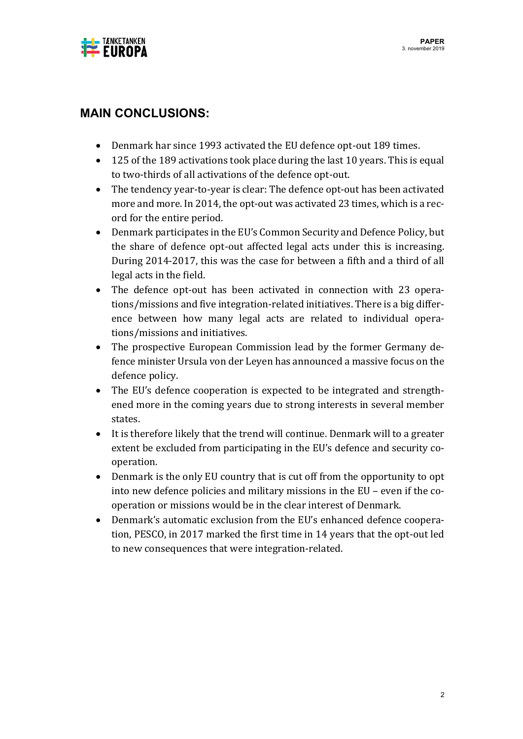

# **MAIN CONCLUSIONS:**

- Denmark har since 1993 activated the EU defence opt-out 189 times.
- 125 of the 189 activations took place during the last 10 years. This is equal to two-thirds of all activations of the defence opt-out.
- The tendency year-to-year is clear: The defence opt-out has been activated more and more. In 2014, the opt-out was activated 23 times, which is a record for the entire period.
- Denmark participates in the EU's Common Security and Defence Policy, but the share of defence opt-out affected legal acts under this is increasing. During 2014-2017, this was the case for between a fifth and a third of all legal acts in the field.
- The defence opt-out has been activated in connection with 23 operations/missions and five integration-related initiatives. There is a big difference between how many legal acts are related to individual operations/missions and initiatives.
- The prospective European Commission lead by the former Germany defence minister Ursula von der Leyen has announced a massive focus on the defence policy.
- The EU's defence cooperation is expected to be integrated and strengthened more in the coming years due to strong interests in several member states.
- It is therefore likely that the trend will continue. Denmark will to a greater extent be excluded from participating in the EU's defence and security cooperation.
- Denmark is the only EU country that is cut off from the opportunity to opt into new defence policies and military missions in the EU – even if the cooperation or missions would be in the clear interest of Denmark.
- Denmark's automatic exclusion from the EU's enhanced defence cooperation, PESCO, in 2017 marked the first time in 14 years that the opt-out led to new consequences that were integration-related.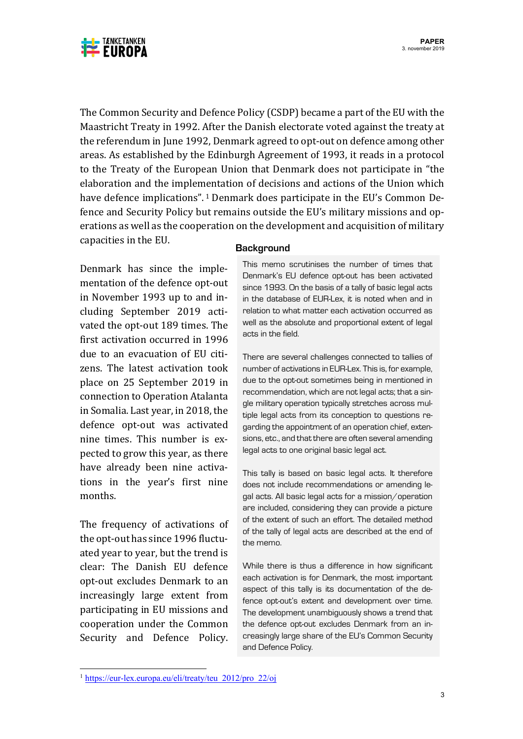

The Common Security and Defence Policy (CSDP) became a part of the EU with the Maastricht Treaty in 1992. After the Danish electorate voted against the treaty at the referendum in June 1992, Denmark agreed to opt-out on defence among other areas. As established by the Edinburgh Agreement of 1993, it reads in a protocol to the Treaty of the European Union that Denmark does not participate in "the elaboration and the implementation of decisions and actions of the Union which have defence implications".  $1$  Denmark does participate in the EU's Common Defence and Security Policy but remains outside the EU's military missions and operations as well as the cooperation on the development and acquisition of military capacities in the EU.

Denmark has since the implementation of the defence opt-out in November 1993 up to and including September 2019 activated the opt-out 189 times. The first activation occurred in 1996 due to an evacuation of EU citizens. The latest activation took place on 25 September 2019 in connection to Operation Atalanta in Somalia. Last year, in 2018, the defence opt-out was activated nine times. This number is expected to grow this year, as there have already been nine activations in the year's first nine months.

The frequency of activations of the opt-out has since 1996 fluctuated year to year, but the trend is clear: The Danish EU defence opt-out excludes Denmark to an increasingly large extent from participating in EU missions and cooperation under the Common Security and Defence Policy.

#### **Background**

This memo scrutinises the number of times that Denmark's EU defence opt-out has been activated since 1993. On the basis of a tally of basic legal acts in the database of EUR-Lex, it is noted when and in relation to what matter each activation occurred as well as the absolute and proportional extent of legal acts in the field.

There are several challenges connected to tallies of number of activations in EUR-Lex. This is, for example, due to the opt-out sometimes being in mentioned in recommendation, which are not legal acts; that a single military operation typically stretches across multiple legal acts from its conception to questions regarding the appointment of an operation chief, extensions, etc., and that there are often several amending legal acts to one original basic legal act.

This tally is based on basic legal acts. It therefore does not include recommendations or amending legal acts. All basic legal acts for a mission/operation are included, considering they can provide a picture of the extent of such an effort. The detailed method of the tally of legal acts are described at the end of the memo.

While there is thus a difference in how significant each activation is for Denmark, the most important aspect of this tally is its documentation of the defence opt-out's extent and development over time. The development unambiguously shows a trend that the defence opt-out excludes Denmark from an increasingly large share of the EU's Common Security and Defence Policy.

<sup>&</sup>lt;sup>1</sup> https://eur-lex.europa.eu/eli/treaty/teu\_2012/pro\_22/oj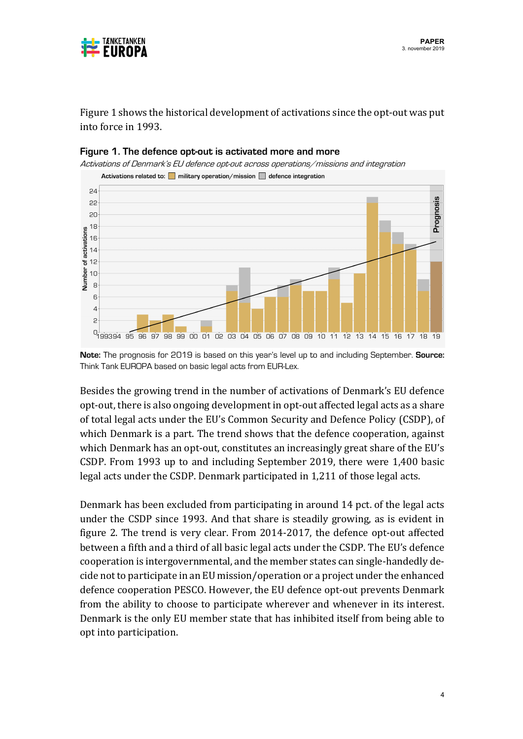

Figure 1 shows the historical development of activations since the opt-out was put into force in 1993.



#### **Figure 1. The defence opt-out is activated more and more**

**Note:** The prognosis for 2019 is based on this year's level up to and including September. **Source:**  Think Tank EUROPA based on basic legal acts from EUR-Lex.

Besides the growing trend in the number of activations of Denmark's EU defence opt-out, there is also ongoing development in opt-out affected legal acts as a share of total legal acts under the EU's Common Security and Defence Policy (CSDP), of which Denmark is a part. The trend shows that the defence cooperation, against which Denmark has an opt-out, constitutes an increasingly great share of the EU's CSDP. From 1993 up to and including September 2019, there were 1,400 basic legal acts under the CSDP. Denmark participated in 1,211 of those legal acts.

Denmark has been excluded from participating in around 14 pct. of the legal acts under the CSDP since 1993. And that share is steadily growing, as is evident in figure 2. The trend is very clear. From 2014-2017, the defence opt-out affected between a fifth and a third of all basic legal acts under the CSDP. The EU's defence cooperation is intergovernmental, and the member states can single-handedly decide not to participate in an EU mission/operation or a project under the enhanced defence cooperation PESCO. However, the EU defence opt-out prevents Denmark from the ability to choose to participate wherever and whenever in its interest. Denmark is the only EU member state that has inhibited itself from being able to opt into participation.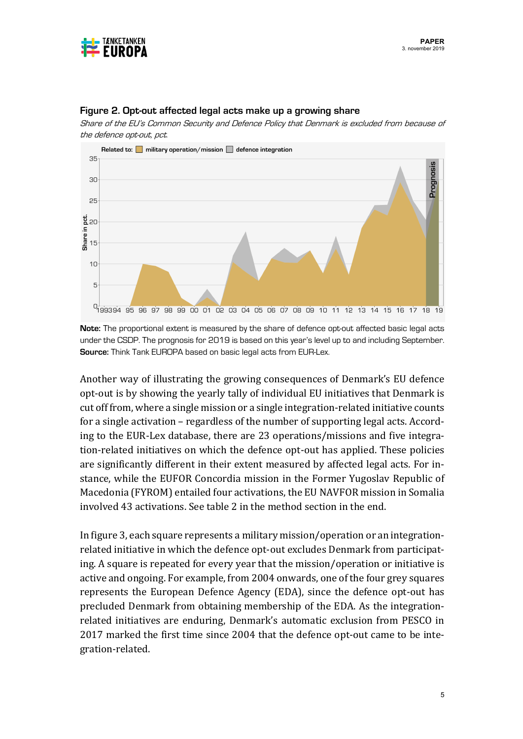



#### **Figure 2. Opt-out affected legal acts make up a growing share**

Share of the EU's Common Security and Defence Policy that Denmark is excluded from because of the defence opt-out, pct.

**Note:** The proportional extent is measured by the share of defence opt-out affected basic legal acts under the CSDP. The prognosis for 2019 is based on this year's level up to and including September. **Source:** Think Tank EUROPA based on basic legal acts from EUR-Lex.

Another way of illustrating the growing consequences of Denmark's EU defence opt-out is by showing the yearly tally of individual EU initiatives that Denmark is cut off from, where a single mission or a single integration-related initiative counts for a single activation - regardless of the number of supporting legal acts. According to the EUR-Lex database, there are 23 operations/missions and five integration-related initiatives on which the defence opt-out has applied. These policies are significantly different in their extent measured by affected legal acts. For instance, while the EUFOR Concordia mission in the Former Yugoslav Republic of Macedonia (FYROM) entailed four activations, the EU NAVFOR mission in Somalia involved 43 activations. See table 2 in the method section in the end.

In figure 3, each square represents a military mission/operation or an integrationrelated initiative in which the defence opt-out excludes Denmark from participating. A square is repeated for every year that the mission/operation or initiative is active and ongoing. For example, from 2004 onwards, one of the four grey squares represents the European Defence Agency (EDA), since the defence opt-out has precluded Denmark from obtaining membership of the EDA. As the integrationrelated initiatives are enduring, Denmark's automatic exclusion from PESCO in 2017 marked the first time since 2004 that the defence opt-out came to be integration-related.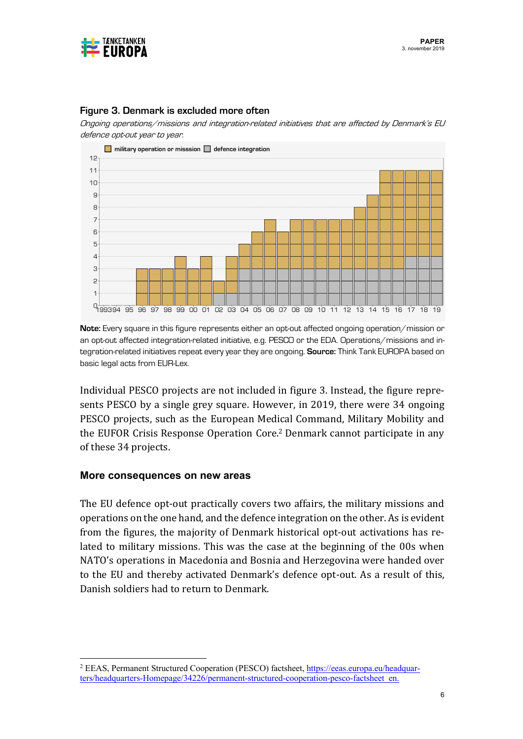



#### **Figure 3. Denmark is excluded more often**

Ongoing operations/missions and integration-related initiatives that are affected by Denmark's EU defence opt-out year to year.

**Note:** Every square in this figure represents either an opt-out affected ongoing operation/mission or an opt-out affected integration-related initiative, e.g. PESCO or the EDA. Operations/missions and integration-related initiatives repeat every year they are ongoing. **Source:** Think Tank EUROPA based on basic legal acts from EUR-Lex.

Individual PESCO projects are not included in figure 3. Instead, the figure represents PESCO by a single grey square. However, in 2019, there were 34 ongoing PESCO projects, such as the European Medical Command, Military Mobility and the EUFOR Crisis Response Operation Core.<sup>2</sup> Denmark cannot participate in any of these 34 projects.

#### **More consequences on new areas**

The EU defence opt-out practically covers two affairs, the military missions and operations on the one hand, and the defence integration on the other. As is evident from the figures, the majority of Denmark historical opt-out activations has related to military missions. This was the case at the beginning of the 00s when NATO's operations in Macedonia and Bosnia and Herzegovina were handed over to the EU and thereby activated Denmark's defence opt-out. As a result of this, Danish soldiers had to return to Denmark.

<sup>2</sup> EEAS, Permanent Structured Cooperation (PESCO) factsheet, https://eeas.europa.eu/headquarters/headquarters-Homepage/34226/permanent-structured-cooperation-pesco-factsheet\_en.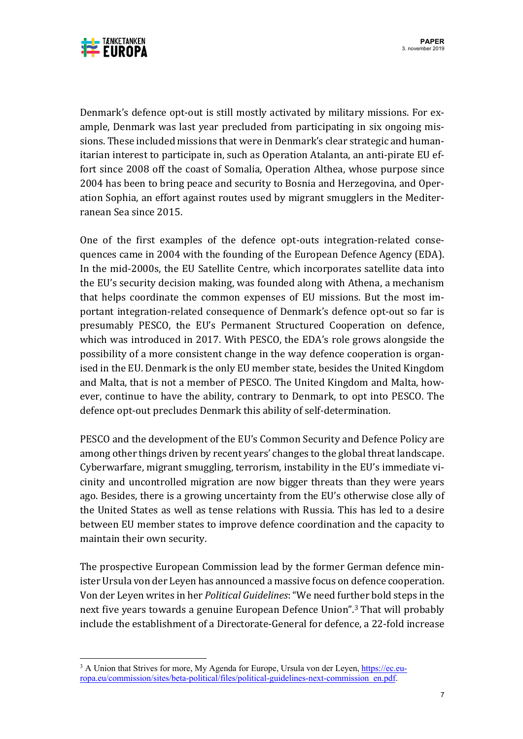

Denmark's defence opt-out is still mostly activated by military missions. For example, Denmark was last year precluded from participating in six ongoing missions. These included missions that were in Denmark's clear strategic and humanitarian interest to participate in, such as Operation Atalanta, an anti-pirate EU effort since 2008 off the coast of Somalia, Operation Althea, whose purpose since 2004 has been to bring peace and security to Bosnia and Herzegovina, and Operation Sophia, an effort against routes used by migrant smugglers in the Mediterranean Sea since 2015.

One of the first examples of the defence opt-outs integration-related consequences came in 2004 with the founding of the European Defence Agency (EDA). In the mid-2000s, the EU Satellite Centre, which incorporates satellite data into the EU's security decision making, was founded along with Athena, a mechanism that helps coordinate the common expenses of EU missions. But the most important integration-related consequence of Denmark's defence opt-out so far is presumably PESCO, the EU's Permanent Structured Cooperation on defence, which was introduced in 2017. With PESCO, the EDA's role grows alongside the possibility of a more consistent change in the way defence cooperation is organised in the EU. Denmark is the only EU member state, besides the United Kingdom and Malta, that is not a member of PESCO. The United Kingdom and Malta, however, continue to have the ability, contrary to Denmark, to opt into PESCO. The defence opt-out precludes Denmark this ability of self-determination.

PESCO and the development of the EU's Common Security and Defence Policy are among other things driven by recent years' changes to the global threat landscape. Cyberwarfare, migrant smuggling, terrorism, instability in the EU's immediate vicinity and uncontrolled migration are now bigger threats than they were years ago. Besides, there is a growing uncertainty from the EU's otherwise close ally of the United States as well as tense relations with Russia. This has led to a desire between EU member states to improve defence coordination and the capacity to maintain their own security.

The prospective European Commission lead by the former German defence minister Ursula von der Leyen has announced a massive focus on defence cooperation. Von der Leyen writes in her *Political Guidelines*: "We need further bold steps in the next five years towards a genuine European Defence Union".<sup>3</sup> That will probably include the establishment of a Directorate-General for defence, a 22-fold increase

<sup>&</sup>lt;sup>3</sup> A Union that Strives for more, My Agenda for Europe, Ursula von der Leyen, https://ec.europa.eu/commission/sites/beta-political/files/political-guidelines-next-commission\_en.pdf.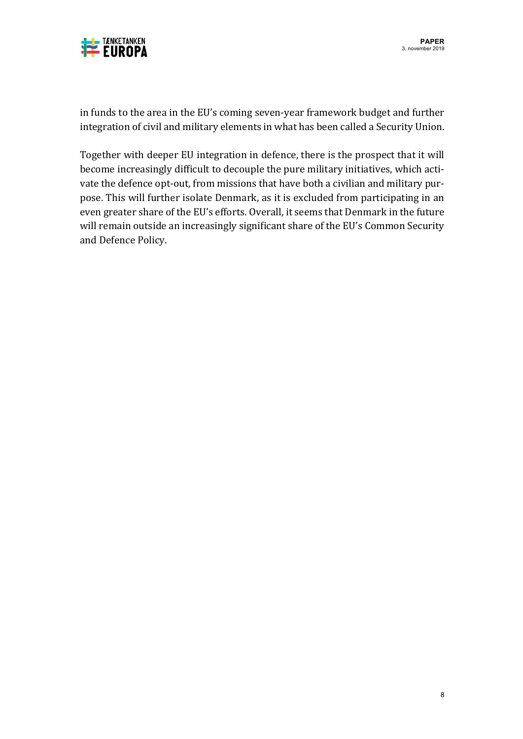

in funds to the area in the EU's coming seven-year framework budget and further integration of civil and military elements in what has been called a Security Union.

Together with deeper EU integration in defence, there is the prospect that it will become increasingly difficult to decouple the pure military initiatives, which activate the defence opt-out, from missions that have both a civilian and military purpose. This will further isolate Denmark, as it is excluded from participating in an even greater share of the EU's efforts. Overall, it seems that Denmark in the future will remain outside an increasingly significant share of the EU's Common Security and Defence Policy.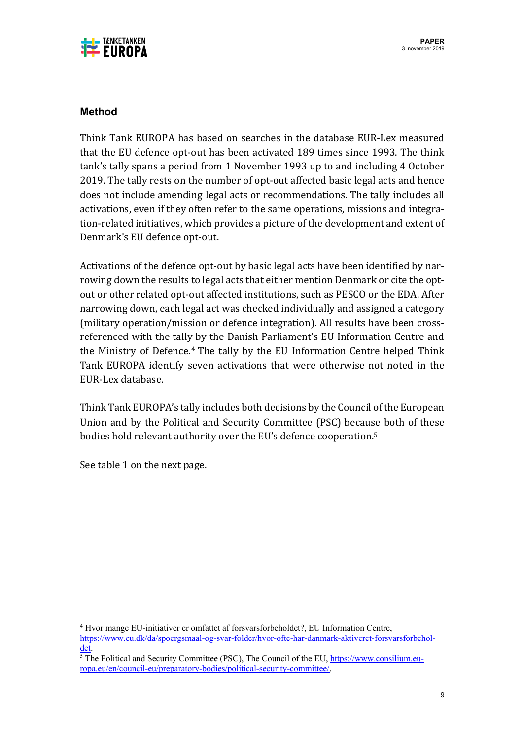

## **Method**

Think Tank EUROPA has based on searches in the database EUR-Lex measured that the EU defence opt-out has been activated 189 times since 1993. The think tank's tally spans a period from 1 November 1993 up to and including 4 October 2019. The tally rests on the number of opt-out affected basic legal acts and hence does not include amending legal acts or recommendations. The tally includes all activations, even if they often refer to the same operations, missions and integration-related initiatives, which provides a picture of the development and extent of Denmark's EU defence opt-out.

Activations of the defence opt-out by basic legal acts have been identified by narrowing down the results to legal acts that either mention Denmark or cite the optout or other related opt-out affected institutions, such as PESCO or the EDA. After narrowing down, each legal act was checked individually and assigned a category (military operation/mission or defence integration). All results have been crossreferenced with the tally by the Danish Parliament's EU Information Centre and the Ministry of Defence.<sup>4</sup> The tally by the EU Information Centre helped Think Tank EUROPA identify seven activations that were otherwise not noted in the EUR-Lex database.

Think Tank EUROPA's tally includes both decisions by the Council of the European Union and by the Political and Security Committee (PSC) because both of these bodies hold relevant authority over the EU's defence cooperation.<sup>5</sup>

See table 1 on the next page.

<sup>4</sup> Hvor mange EU-initiativer er omfattet af forsvarsforbeholdet?, EU Information Centre, https://www.eu.dk/da/spoergsmaal-og-svar-folder/hvor-ofte-har-danmark-aktiveret-forsvarsforbeholdet.

<sup>&</sup>lt;sup>5</sup> The Political and Security Committee (PSC), The Council of the EU, https://www.consilium.europa.eu/en/council-eu/preparatory-bodies/political-security-committee/.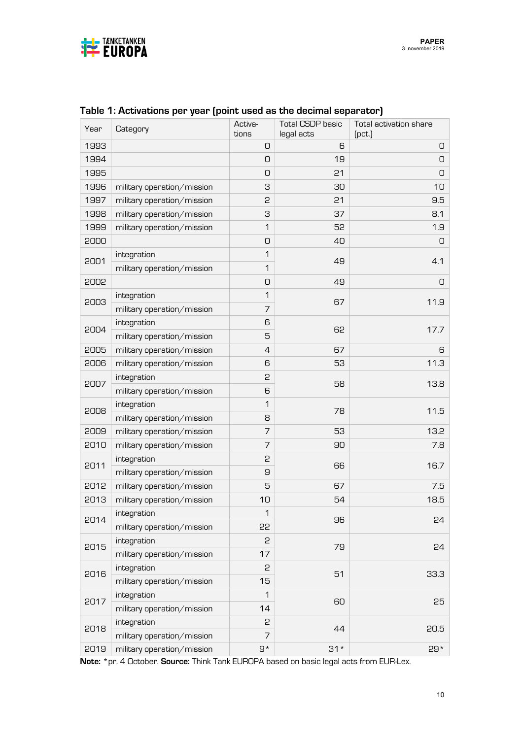

| Year | Category                   | Activa-      | <b>Total CSDP basic</b>                                                    | Total activation share |
|------|----------------------------|--------------|----------------------------------------------------------------------------|------------------------|
| 1993 |                            | tions<br>0   | legal acts<br>6                                                            | (pct.<br>0             |
| 1994 |                            | 0            | 19                                                                         | O                      |
|      |                            |              |                                                                            |                        |
| 1995 |                            | 0            | 21                                                                         | 0                      |
| 1996 | military operation/mission | З            | 30                                                                         | 10                     |
| 1997 | military operation/mission | 2            | 21                                                                         | 9.5                    |
| 1998 | military operation/mission | З            | 37                                                                         | 8.1                    |
| 1999 | military operation/mission | 1            | 52                                                                         | 1.9                    |
| 2000 |                            | 0            | 40                                                                         | 0                      |
| 2001 | integration                | 1            | 49                                                                         | 4.1                    |
|      | military operation/mission |              |                                                                            |                        |
| 2002 |                            |              |                                                                            | O                      |
| 2003 | integration                |              |                                                                            | 11.9                   |
|      | military operation/mission | 7            |                                                                            |                        |
| 2004 | integration                | 6            |                                                                            | 17.7                   |
|      | military operation/mission | 5            |                                                                            |                        |
| 2005 | military operation/mission | 4            | 67                                                                         | 6                      |
| 2006 | military operation/mission | 6            | 53                                                                         | 11.3                   |
|      | integration                | 5<br>58<br>6 | 13.8                                                                       |                        |
| 2007 | military operation/mission |              |                                                                            |                        |
|      | integration                | 1            | 78                                                                         | 11.5                   |
| 2008 | military operation/mission | 8            |                                                                            |                        |
| 2009 | military operation/mission | 7            | 53                                                                         | 13.2                   |
| 2010 | military operation/mission | 7            | 90                                                                         | 7.8                    |
|      | integration                | 5            |                                                                            |                        |
| 2011 | military operation/mission | 9            |                                                                            | 16.7                   |
| 2012 | military operation/mission | 5            | 67                                                                         | 7.5                    |
| 2013 | military operation/mission | 10           | 54                                                                         | 18.5                   |
|      | integration                | 1            |                                                                            |                        |
| 2014 | military operation/mission | 55           | 1<br>O<br>49<br>1<br>67<br>62<br>66<br>96<br>5<br>79<br>2<br>51<br>1<br>60 | 24                     |
|      | integration                |              |                                                                            |                        |
| 2015 | military operation/mission | 17           | 15                                                                         | 24                     |
|      | integration                |              |                                                                            |                        |
| 2016 | military operation/mission |              |                                                                            | 33.3                   |
|      | integration                |              |                                                                            |                        |
| 2017 | military operation/mission | 14           |                                                                            | 25                     |
| 2018 | integration                | 5            |                                                                            |                        |
|      | military operation/mission | 7            | 44                                                                         | 20.5                   |
| 2019 | military operation/mission | $9*$         | $31*$                                                                      | $29*$                  |

## **Table 1: Activations per year (point used as the decimal separator)**

**Note:** \*pr. 4 October. **Source:** Think Tank EUROPA based on basic legal acts from EUR-Lex.